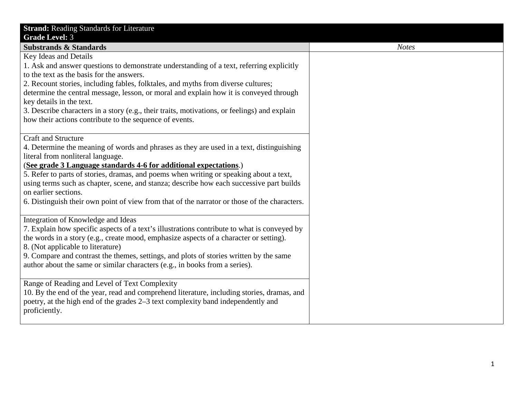| <b>Strand: Reading Standards for Literature</b>                                              |              |
|----------------------------------------------------------------------------------------------|--------------|
| <b>Grade Level: 3</b>                                                                        |              |
| <b>Substrands &amp; Standards</b>                                                            | <b>Notes</b> |
| Key Ideas and Details                                                                        |              |
| 1. Ask and answer questions to demonstrate understanding of a text, referring explicitly     |              |
| to the text as the basis for the answers.                                                    |              |
| 2. Recount stories, including fables, folktales, and myths from diverse cultures;            |              |
| determine the central message, lesson, or moral and explain how it is conveyed through       |              |
| key details in the text.                                                                     |              |
| 3. Describe characters in a story (e.g., their traits, motivations, or feelings) and explain |              |
| how their actions contribute to the sequence of events.                                      |              |
|                                                                                              |              |
| <b>Craft and Structure</b>                                                                   |              |
| 4. Determine the meaning of words and phrases as they are used in a text, distinguishing     |              |
| literal from nonliteral language.                                                            |              |
| (See grade 3 Language standards 4-6 for additional expectations.)                            |              |
| 5. Refer to parts of stories, dramas, and poems when writing or speaking about a text,       |              |
| using terms such as chapter, scene, and stanza; describe how each successive part builds     |              |
| on earlier sections.                                                                         |              |
| 6. Distinguish their own point of view from that of the narrator or those of the characters. |              |
|                                                                                              |              |
| Integration of Knowledge and Ideas                                                           |              |
| 7. Explain how specific aspects of a text's illustrations contribute to what is conveyed by  |              |
| the words in a story (e.g., create mood, emphasize aspects of a character or setting).       |              |
| 8. (Not applicable to literature)                                                            |              |
| 9. Compare and contrast the themes, settings, and plots of stories written by the same       |              |
| author about the same or similar characters (e.g., in books from a series).                  |              |
|                                                                                              |              |
| Range of Reading and Level of Text Complexity                                                |              |
| 10. By the end of the year, read and comprehend literature, including stories, dramas, and   |              |
| poetry, at the high end of the grades 2–3 text complexity band independently and             |              |
| proficiently.                                                                                |              |
|                                                                                              |              |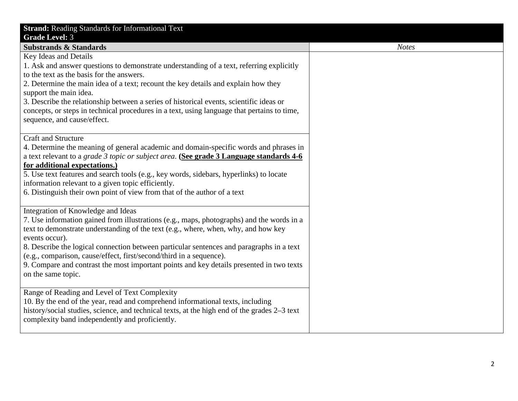| <b>Strand: Reading Standards for Informational Text</b>                                                                    |
|----------------------------------------------------------------------------------------------------------------------------|
| <b>Grade Level: 3</b>                                                                                                      |
| <b>Substrands &amp; Standards</b>                                                                                          |
| Key Ideas and Details                                                                                                      |
| 1. Ask and answer questions to demonstrate understanding of a text, referring explicitly                                   |
| to the text as the basis for the answers.                                                                                  |
| 2. Determine the main idea of a text; recount the key details and explain how they                                         |
| support the main idea.                                                                                                     |
| 3. Describe the relationship between a series of historical events, scientific ideas or                                    |
| concepts, or steps in technical procedures in a text, using language that pertains to time,<br>sequence, and cause/effect. |
|                                                                                                                            |
| <b>Craft and Structure</b>                                                                                                 |
| 4. Determine the meaning of general academic and domain-specific words and phrases in                                      |
| a text relevant to a grade 3 topic or subject area. (See grade 3 Language standards 4-6                                    |
| for additional expectations.)                                                                                              |
| 5. Use text features and search tools (e.g., key words, sidebars, hyperlinks) to locate                                    |
| information relevant to a given topic efficiently.                                                                         |
| 6. Distinguish their own point of view from that of the author of a text                                                   |
|                                                                                                                            |
| Integration of Knowledge and Ideas                                                                                         |
| 7. Use information gained from illustrations (e.g., maps, photographs) and the words in a                                  |
| text to demonstrate understanding of the text (e.g., where, when, why, and how key                                         |
| events occur).<br>8. Describe the logical connection between particular sentences and paragraphs in a text                 |
| (e.g., comparison, cause/effect, first/second/third in a sequence).                                                        |
| 9. Compare and contrast the most important points and key details presented in two texts                                   |
| on the same topic.                                                                                                         |
|                                                                                                                            |
| Range of Reading and Level of Text Complexity                                                                              |
| 10. By the end of the year, read and comprehend informational texts, including                                             |
| history/social studies, science, and technical texts, at the high end of the grades 2–3 text                               |
| complexity band independently and proficiently.                                                                            |
|                                                                                                                            |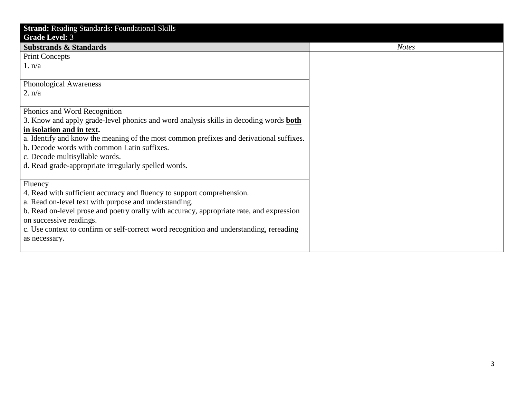| <b>Strand: Reading Standards: Foundational Skills</b>                                        |              |
|----------------------------------------------------------------------------------------------|--------------|
| <b>Grade Level: 3</b>                                                                        |              |
| <b>Substrands &amp; Standards</b>                                                            | <b>Notes</b> |
| <b>Print Concepts</b>                                                                        |              |
| 1. n/a                                                                                       |              |
|                                                                                              |              |
| Phonological Awareness                                                                       |              |
| 2. n/a                                                                                       |              |
|                                                                                              |              |
| Phonics and Word Recognition                                                                 |              |
| 3. Know and apply grade-level phonics and word analysis skills in decoding words <b>both</b> |              |
| in isolation and in text.                                                                    |              |
| a. Identify and know the meaning of the most common prefixes and derivational suffixes.      |              |
| b. Decode words with common Latin suffixes.                                                  |              |
| c. Decode multisyllable words.                                                               |              |
| d. Read grade-appropriate irregularly spelled words.                                         |              |
|                                                                                              |              |
| Fluency                                                                                      |              |
| 4. Read with sufficient accuracy and fluency to support comprehension.                       |              |
| a. Read on-level text with purpose and understanding.                                        |              |
| b. Read on-level prose and poetry orally with accuracy, appropriate rate, and expression     |              |
| on successive readings.                                                                      |              |
| c. Use context to confirm or self-correct word recognition and understanding, rereading      |              |
| as necessary.                                                                                |              |
|                                                                                              |              |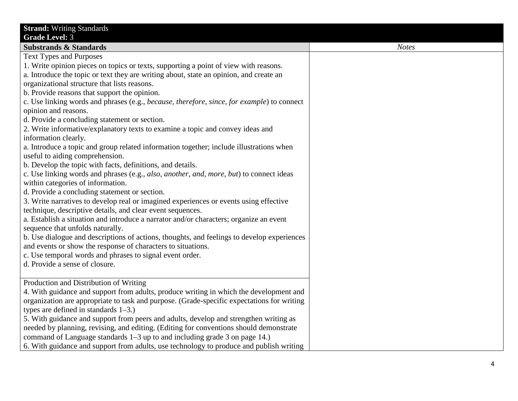| <b>Strand: Writing Standards</b>                                                           |              |
|--------------------------------------------------------------------------------------------|--------------|
| <b>Grade Level: 3</b>                                                                      |              |
| <b>Substrands &amp; Standards</b>                                                          | <b>Notes</b> |
| <b>Text Types and Purposes</b>                                                             |              |
| 1. Write opinion pieces on topics or texts, supporting a point of view with reasons.       |              |
| a. Introduce the topic or text they are writing about, state an opinion, and create an     |              |
| organizational structure that lists reasons.                                               |              |
| b. Provide reasons that support the opinion.                                               |              |
| c. Use linking words and phrases (e.g., because, therefore, since, for example) to connect |              |
| opinion and reasons.                                                                       |              |
| d. Provide a concluding statement or section.                                              |              |
| 2. Write informative/explanatory texts to examine a topic and convey ideas and             |              |
| information clearly.                                                                       |              |
| a. Introduce a topic and group related information together; include illustrations when    |              |
| useful to aiding comprehension.                                                            |              |
| b. Develop the topic with facts, definitions, and details.                                 |              |
| c. Use linking words and phrases (e.g., also, another, and, more, but) to connect ideas    |              |
| within categories of information.                                                          |              |
| d. Provide a concluding statement or section.                                              |              |
| 3. Write narratives to develop real or imagined experiences or events using effective      |              |
| technique, descriptive details, and clear event sequences.                                 |              |
| a. Establish a situation and introduce a narrator and/or characters; organize an event     |              |
| sequence that unfolds naturally.                                                           |              |
| b. Use dialogue and descriptions of actions, thoughts, and feelings to develop experiences |              |
| and events or show the response of characters to situations.                               |              |
| c. Use temporal words and phrases to signal event order.                                   |              |
| d. Provide a sense of closure.                                                             |              |
|                                                                                            |              |
| Production and Distribution of Writing                                                     |              |
| 4. With guidance and support from adults, produce writing in which the development and     |              |
| organization are appropriate to task and purpose. (Grade-specific expectations for writing |              |
| types are defined in standards $1-3$ .)                                                    |              |
| 5. With guidance and support from peers and adults, develop and strengthen writing as      |              |
| needed by planning, revising, and editing. (Editing for conventions should demonstrate     |              |
| command of Language standards 1–3 up to and including grade 3 on page 14.)                 |              |
| 6. With guidance and support from adults, use technology to produce and publish writing    |              |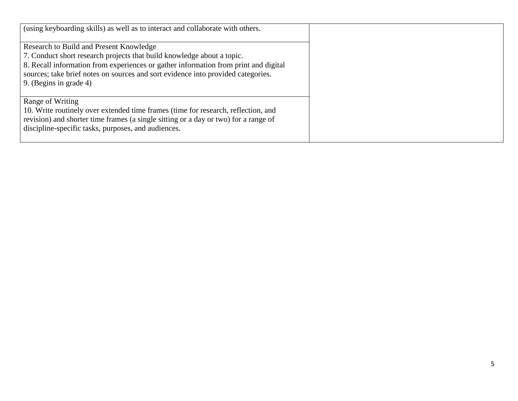| (using keyboarding skills) as well as to interact and collaborate with others.      |
|-------------------------------------------------------------------------------------|
| Research to Build and Present Knowledge                                             |
| 7. Conduct short research projects that build knowledge about a topic.              |
| 8. Recall information from experiences or gather information from print and digital |
| sources; take brief notes on sources and sort evidence into provided categories.    |
| 9. (Begins in grade 4)                                                              |
| Range of Writing                                                                    |
| 10. Write routinely over extended time frames (time for research, reflection, and   |
| revision) and shorter time frames (a single sitting or a day or two) for a range of |
| discipline-specific tasks, purposes, and audiences.                                 |
|                                                                                     |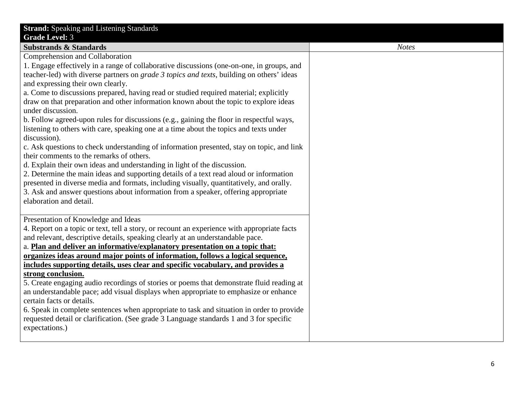| <b>Strand:</b> Speaking and Listening Standards<br><b>Grade Level: 3</b><br><b>Substrands &amp; Standards</b><br>Comprehension and Collaboration<br>1. Engage effectively in a range of collaborative discussions (one-on-one, in groups, and<br>teacher-led) with diverse partners on <i>grade 3 topics and texts</i> , building on others' ideas |
|----------------------------------------------------------------------------------------------------------------------------------------------------------------------------------------------------------------------------------------------------------------------------------------------------------------------------------------------------|
|                                                                                                                                                                                                                                                                                                                                                    |
|                                                                                                                                                                                                                                                                                                                                                    |
|                                                                                                                                                                                                                                                                                                                                                    |
|                                                                                                                                                                                                                                                                                                                                                    |
|                                                                                                                                                                                                                                                                                                                                                    |
| and expressing their own clearly.                                                                                                                                                                                                                                                                                                                  |
| a. Come to discussions prepared, having read or studied required material; explicitly                                                                                                                                                                                                                                                              |
| draw on that preparation and other information known about the topic to explore ideas                                                                                                                                                                                                                                                              |
| under discussion.                                                                                                                                                                                                                                                                                                                                  |
| b. Follow agreed-upon rules for discussions (e.g., gaining the floor in respectful ways,                                                                                                                                                                                                                                                           |
| listening to others with care, speaking one at a time about the topics and texts under                                                                                                                                                                                                                                                             |
| discussion).                                                                                                                                                                                                                                                                                                                                       |
| c. Ask questions to check understanding of information presented, stay on topic, and link                                                                                                                                                                                                                                                          |
| their comments to the remarks of others.                                                                                                                                                                                                                                                                                                           |
| d. Explain their own ideas and understanding in light of the discussion.                                                                                                                                                                                                                                                                           |
| 2. Determine the main ideas and supporting details of a text read aloud or information                                                                                                                                                                                                                                                             |
| presented in diverse media and formats, including visually, quantitatively, and orally.                                                                                                                                                                                                                                                            |
| 3. Ask and answer questions about information from a speaker, offering appropriate                                                                                                                                                                                                                                                                 |
| elaboration and detail.                                                                                                                                                                                                                                                                                                                            |
|                                                                                                                                                                                                                                                                                                                                                    |
| Presentation of Knowledge and Ideas                                                                                                                                                                                                                                                                                                                |
| 4. Report on a topic or text, tell a story, or recount an experience with appropriate facts<br>and relevant, descriptive details, speaking clearly at an understandable pace.                                                                                                                                                                      |
| a. Plan and deliver an informative/explanatory presentation on a topic that:                                                                                                                                                                                                                                                                       |
| organizes ideas around major points of information, follows a logical sequence,                                                                                                                                                                                                                                                                    |
| includes supporting details, uses clear and specific vocabulary, and provides a                                                                                                                                                                                                                                                                    |
| strong conclusion.                                                                                                                                                                                                                                                                                                                                 |
| 5. Create engaging audio recordings of stories or poems that demonstrate fluid reading at                                                                                                                                                                                                                                                          |
| an understandable pace; add visual displays when appropriate to emphasize or enhance                                                                                                                                                                                                                                                               |
| certain facts or details.                                                                                                                                                                                                                                                                                                                          |
| 6. Speak in complete sentences when appropriate to task and situation in order to provide                                                                                                                                                                                                                                                          |
| requested detail or clarification. (See grade 3 Language standards 1 and 3 for specific                                                                                                                                                                                                                                                            |
| expectations.)                                                                                                                                                                                                                                                                                                                                     |
|                                                                                                                                                                                                                                                                                                                                                    |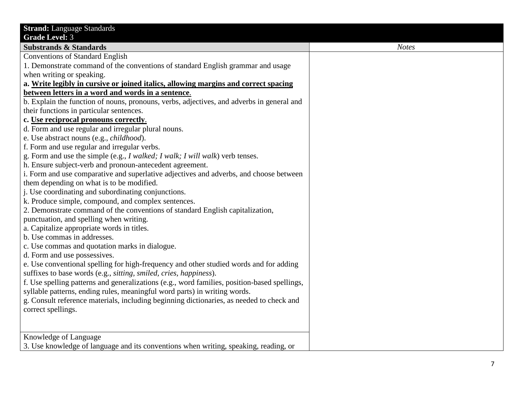| <b>Strand: Language Standards</b>                                                            |              |
|----------------------------------------------------------------------------------------------|--------------|
| <b>Grade Level: 3</b>                                                                        |              |
| <b>Substrands &amp; Standards</b>                                                            | <b>Notes</b> |
| <b>Conventions of Standard English</b>                                                       |              |
| 1. Demonstrate command of the conventions of standard English grammar and usage              |              |
| when writing or speaking.                                                                    |              |
| a. Write legibly in cursive or joined italics, allowing margins and correct spacing          |              |
| between letters in a word and words in a sentence.                                           |              |
| b. Explain the function of nouns, pronouns, verbs, adjectives, and adverbs in general and    |              |
| their functions in particular sentences.                                                     |              |
| c. Use reciprocal pronouns correctly.                                                        |              |
| d. Form and use regular and irregular plural nouns.                                          |              |
| e. Use abstract nouns (e.g., <i>childhood</i> ).                                             |              |
| f. Form and use regular and irregular verbs.                                                 |              |
| g. Form and use the simple (e.g., I walked; I walk; I will walk) verb tenses.                |              |
| h. Ensure subject-verb and pronoun-antecedent agreement.                                     |              |
| i. Form and use comparative and superlative adjectives and adverbs, and choose between       |              |
| them depending on what is to be modified.                                                    |              |
| j. Use coordinating and subordinating conjunctions.                                          |              |
| k. Produce simple, compound, and complex sentences.                                          |              |
| 2. Demonstrate command of the conventions of standard English capitalization,                |              |
| punctuation, and spelling when writing.                                                      |              |
| a. Capitalize appropriate words in titles.                                                   |              |
| b. Use commas in addresses.                                                                  |              |
| c. Use commas and quotation marks in dialogue.                                               |              |
| d. Form and use possessives.                                                                 |              |
| e. Use conventional spelling for high-frequency and other studied words and for adding       |              |
| suffixes to base words (e.g., sitting, smiled, cries, happiness).                            |              |
| f. Use spelling patterns and generalizations (e.g., word families, position-based spellings, |              |
| syllable patterns, ending rules, meaningful word parts) in writing words.                    |              |
| g. Consult reference materials, including beginning dictionaries, as needed to check and     |              |
| correct spellings.                                                                           |              |
|                                                                                              |              |
|                                                                                              |              |
| Knowledge of Language                                                                        |              |
| 3. Use knowledge of language and its conventions when writing, speaking, reading, or         |              |